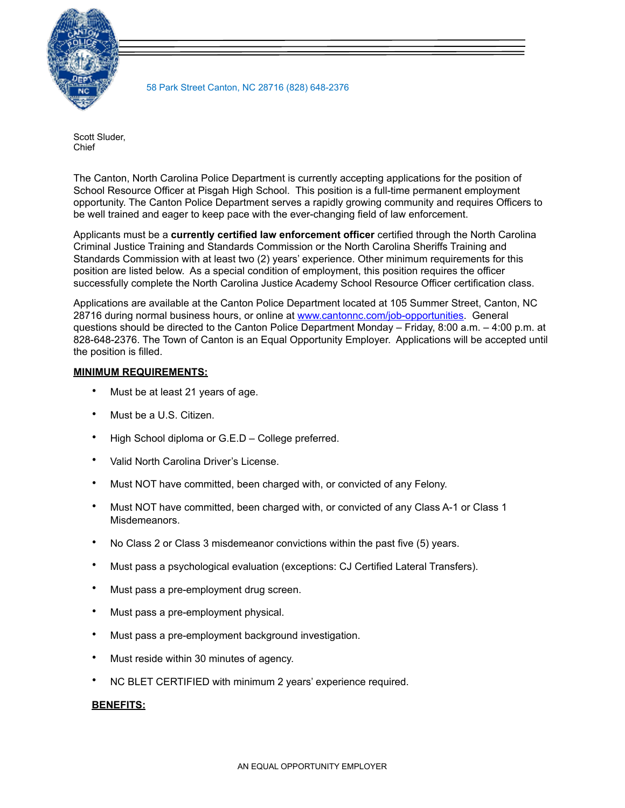

58 Park Street Canton, NC 28716 (828) 648-2376

Scott Sluder, Chief

The Canton, North Carolina Police Department is currently accepting applications for the position of School Resource Officer at Pisgah High School. This position is a full-time permanent employment opportunity. The Canton Police Department serves a rapidly growing community and requires Officers to be well trained and eager to keep pace with the ever-changing field of law enforcement.

Applicants must be a **currently certified law enforcement officer** certified through the North Carolina Criminal Justice Training and Standards Commission or the North Carolina Sheriffs Training and Standards Commission with at least two (2) years' experience. Other minimum requirements for this position are listed below. As a special condition of employment, this position requires the officer successfully complete the North Carolina Justice Academy School Resource Officer certification class.

Applications are available at the Canton Police Department located at 105 Summer Street, Canton, NC 28716 during normal business hours, or online at [www.cantonnc.com/job-opportunities](http://www.cantonnc.com/job-opportunities). General questions should be directed to the Canton Police Department Monday – Friday, 8:00 a.m. – 4:00 p.m. at 828-648-2376. The Town of Canton is an Equal Opportunity Employer. Applications will be accepted until the position is filled.

## **MINIMUM REQUIREMENTS:**

- Must be at least 21 years of age.
- Must be a U.S. Citizen.
- High School diploma or G.E.D College preferred.
- Valid North Carolina Driver's License.
- Must NOT have committed, been charged with, or convicted of any Felony.
- Must NOT have committed, been charged with, or convicted of any Class A-1 or Class 1 Misdemeanors.
- No Class 2 or Class 3 misdemeanor convictions within the past five (5) years.
- Must pass a psychological evaluation (exceptions: CJ Certified Lateral Transfers).
- Must pass a pre-employment drug screen.
- Must pass a pre-employment physical.
- Must pass a pre-employment background investigation.
- Must reside within 30 minutes of agency.
- NC BLET CERTIFIED with minimum 2 years' experience required.

## **BENEFITS:**